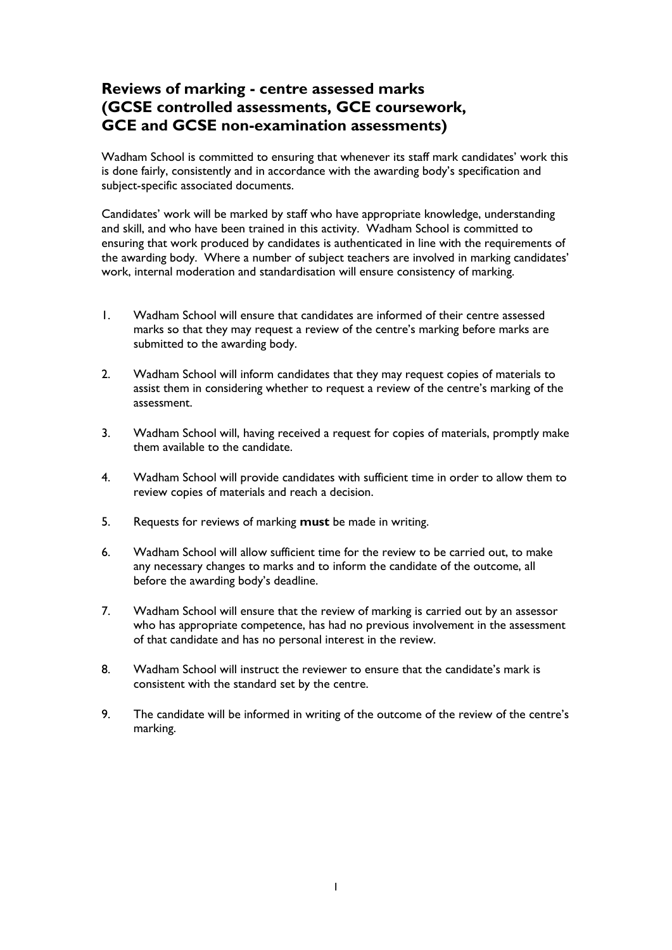## **Reviews of marking - centre assessed marks (GCSE controlled assessments, GCE coursework, GCE and GCSE non-examination assessments)**

Wadham School is committed to ensuring that whenever its staff mark candidates' work this is done fairly, consistently and in accordance with the awarding body's specification and subject-specific associated documents.

Candidates' work will be marked by staff who have appropriate knowledge, understanding and skill, and who have been trained in this activity. Wadham School is committed to ensuring that work produced by candidates is authenticated in line with the requirements of the awarding body. Where a number of subject teachers are involved in marking candidates' work, internal moderation and standardisation will ensure consistency of marking.

- 1. Wadham School will ensure that candidates are informed of their centre assessed marks so that they may request a review of the centre's marking before marks are submitted to the awarding body.
- 2. Wadham School will inform candidates that they may request copies of materials to assist them in considering whether to request a review of the centre's marking of the assessment.
- 3. Wadham School will, having received a request for copies of materials, promptly make them available to the candidate.
- 4. Wadham School will provide candidates with sufficient time in order to allow them to review copies of materials and reach a decision.
- 5. Requests for reviews of marking **must** be made in writing.
- 6. Wadham School will allow sufficient time for the review to be carried out, to make any necessary changes to marks and to inform the candidate of the outcome, all before the awarding body's deadline.
- 7. Wadham School will ensure that the review of marking is carried out by an assessor who has appropriate competence, has had no previous involvement in the assessment of that candidate and has no personal interest in the review.
- 8. Wadham School will instruct the reviewer to ensure that the candidate's mark is consistent with the standard set by the centre.
- 9. The candidate will be informed in writing of the outcome of the review of the centre's marking.